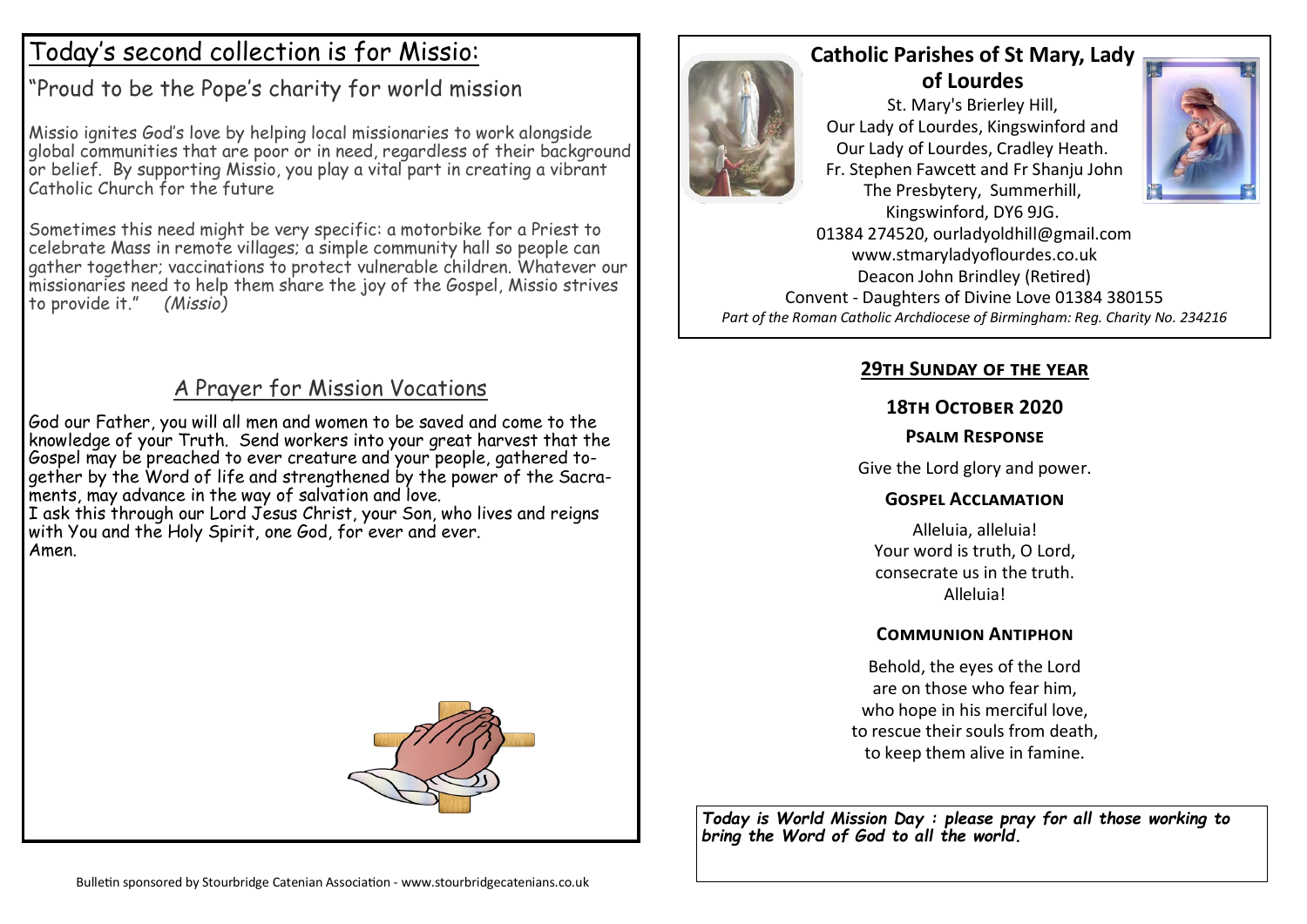# Today's second collection is for Missio:

"Proud to be the Pope's charity for world mission

Missio ignites God's love by helping local missionaries to work alongside alobal communities that are poor or in need, regardless of their background or belief. By supporting Missio, you play a vital part in creating a vibrant Catholic Church for the future

Sometimes this need might be very specific: a motorbike for a Priest to celebrate Mass in remote villages; a simple community hall so people can gather together; vaccinations to protect vulnerable children. Whatever our missionaries need to help them share the joy of the Gospel, Missio strives to provide it." *(Missio)*

### A Prayer for Mission Vocations

God our Father, you will all men and women to be saved and come to the knowledge of your Truth. Send workers into your great harvest that the Gospel may be preached to ever creature and your people, gathered together by the Word of life and strengthened by the power of the Sacraments, may advance in the way of salvation and love.

I ask this through our Lord Jesus Christ, your Son, who lives and reigns with You and the Holy Spirit, one God, for ever and ever. Amen.





## **Catholic Parishes of St Mary, Lady of Lourdes**

St. Mary's Brierley Hill, Our Lady of Lourdes, Kingswinford and Our Lady of Lourdes, Cradley Heath. Fr. Stephen Fawcett and Fr Shanju John The Presbytery, Summerhill, Kingswinford, DY6 9JG.



01384 274520, ourladyoldhill@gmail.com www.stmaryladyoflourdes.co.uk Deacon John Brindley (Retired) Convent - Daughters of Divine Love 01384 380155 *Part of the Roman Catholic Archdiocese of Birmingham: Reg. Charity No. 234216*

### **29th Sunday of the year**

#### **18th October 2020**

#### **Psalm Response**

Give the Lord glory and power.

### **Gospel Acclamation**

Alleluia, alleluia! Your word is truth, O Lord, consecrate us in the truth. Alleluia!

### **Communion Antiphon**

Behold, the eyes of the Lord are on those who fear him, who hope in his merciful love, to rescue their souls from death, to keep them alive in famine.

*Today is World Mission Day : please pray for all those working to bring the Word of God to all the world.*